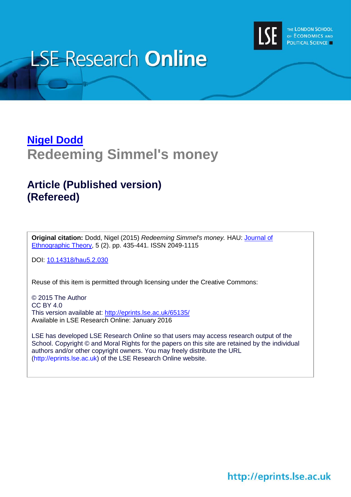

# **LSE Research Online**

# **[Nigel Dodd](http://www.lse.ac.uk/researchAndExpertise/Experts/profile.aspx?KeyValue=n.b.dodd@lse.ac.uk) Redeeming Simmel's money**

### **Article (Published version) (Refereed)**

**Original citation:** Dodd, Nigel (2015) *Redeeming Simmel's money.* HAU: [Journal of](http://www.haujournal.org/index.php/hau/index)  [Ethnographic Theory,](http://www.haujournal.org/index.php/hau/index) 5 (2). pp. 435-441. ISSN 2049-1115

DOI: [10.14318/hau5.2.030](http://dx.doi.org/10.14318/hau5.2.030)

Reuse of this item is permitted through licensing under the Creative Commons:

© 2015 The Author CC BY 4.0 This version available at:<http://eprints.lse.ac.uk/65135/> Available in LSE Research Online: January 2016

LSE has developed LSE Research Online so that users may access research output of the School. Copyright © and Moral Rights for the papers on this site are retained by the individual authors and/or other copyright owners. You may freely distribute the URL (http://eprints.lse.ac.uk) of the LSE Research Online website.

http://eprints.lse.ac.uk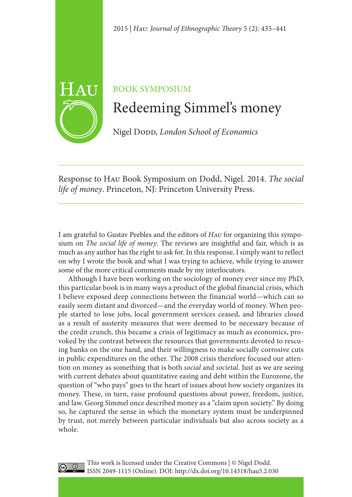## $HAT$ BOOK SYMPOSIUM Redeeming Simmel's money Nigel Dopp, London School of Economics

Response to Hau Book Symposium on Dodd, Nigel. 2014. *The social life of money*. Princeton, NJ: Princeton University Press.

I am grateful to Gustav Peebles and the editors of *Hau* for organizing this symposium on *The social life of money*. The reviews are insightful and fair, which is as much as any author has the right to ask for. In this response, I simply want to reflect on why I wrote the book and what I was trying to achieve, while trying to answer some of the more critical comments made by my interlocutors.

Although I have been working on the sociology of money ever since my PhD, this particular book is in many ways a product of the global financial crisis, which I believe exposed deep connections between the financial world—which can so easily seem distant and divorced—and the everyday world of money. When people started to lose jobs, local government services ceased, and libraries closed as a result of austerity measures that were deemed to be necessary because of the credit crunch, this became a crisis of legitimacy as much as economics, provoked by the contrast between the resources that governments devoted to rescuing banks on the one hand, and their willingness to make socially corrosive cuts in public expenditures on the other. The 2008 crisis therefore focused our attention on money as something that is both *social* and *societal*. Just as we are seeing with current debates about quantitative easing and debt within the Eurozone, the question of "who pays" goes to the heart of issues about how society organizes its money. These, in turn, raise profound questions about power, freedom, justice, and law. Georg Simmel once described money as a "claim upon society." By doing so, he captured the sense in which the monetary system must be underpinned by trust, not merely between particular individuals but also across society as a whole.



This work is licensed under the Creative Commons | © Nigel Dodd. ISSN 2049-1115 (Online). DOI: http://dx.doi.org/10.14318/hau5.2.030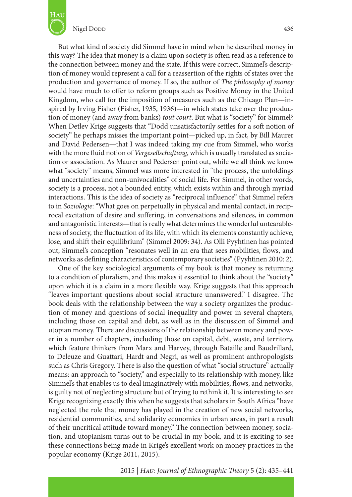

Nigel Dopp 436

But what kind of society did Simmel have in mind when he described money in this way? The idea that money is a claim upon society is often read as a reference to the connection between money and the state. If this were correct, Simmel's description of money would represent a call for a reassertion of the rights of states over the production and governance of money. If so, the author of *The philosophy of money* would have much to offer to reform groups such as Positive Money in the United Kingdom, who call for the imposition of measures such as the Chicago Plan—inspired by Irving Fisher (Fisher, 1935, 1936)—in which states take over the production of money (and away from banks) *tout court*. But what is "society" for Simmel? When Detlev Krige suggests that "Dodd unsatisfactorily settles for a soft notion of society" he perhaps misses the important point—picked up, in fact, by Bill Maurer and David Pedersen—that I was indeed taking my cue from Simmel, who works with the more fluid notion of *Vergesellschaftung*, which is usually translated as sociation or association. As Maurer and Pedersen point out, while we all think we know what "society" means, Simmel was more interested in "the process, the unfoldings and uncertainties and non-univocalities" of social life. For Simmel, in other words, society is a process, not a bounded entity, which exists within and through myriad interactions. This is the idea of society as "reciprocal influence" that Simmel refers to in *Soziologie*: "What goes on perpetually in physical and mental contact, in reciprocal excitation of desire and suffering, in conversations and silences, in common and antagonistic interests—that is really what determines the wonderful untearableness of society, the fluctuation of its life, with which its elements constantly achieve, lose, and shift their equilibrium" (Simmel 2009: 34). As Olli Pyyhtinen has pointed out, Simmel's conception "resonates well in an era that sees mobilities, flows, and networks as defining characteristics of contemporary societies" (Pyyhtinen 2010: 2).

One of the key sociological arguments of my book is that money is returning to a condition of pluralism, and this makes it essential to think about the "society" upon which it is a claim in a more flexible way. Krige suggests that this approach "leaves important questions about social structure unanswered." I disagree. The book deals with the relationship between the way a society organizes the production of money and questions of social inequality and power in several chapters, including those on capital and debt, as well as in the discussion of Simmel and utopian money. There are discussions of the relationship between money and power in a number of chapters, including those on capital, debt, waste, and territory, which feature thinkers from Marx and Harvey, through Bataille and Baudrillard, to Deleuze and Guattari, Hardt and Negri, as well as prominent anthropologists such as Chris Gregory. There is also the question of what "social structure" actually means: an approach to "society," and especially to its relationship with money, like Simmel's that enables us to deal imaginatively with mobilities, flows, and networks, is guilty not of neglecting structure but of trying to rethink it. It is interesting to see Krige recognizing exactly this when he suggests that scholars in South Africa "have neglected the role that money has played in the creation of new social networks, residential communities, and solidarity economies in urban areas, in part a result of their uncritical attitude toward money." The connection between money, sociation, and utopianism turns out to be crucial in my book, and it is exciting to see these connections being made in Krige's excellent work on money practices in the popular economy (Krige 2011, 2015).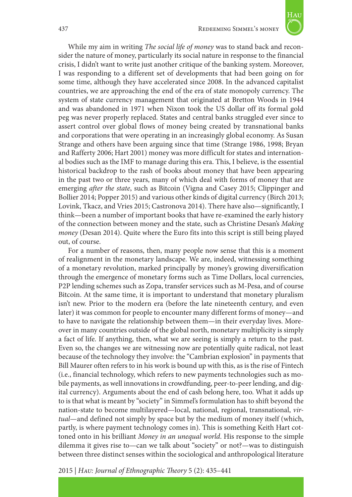

While my aim in writing *The social life of money* was to stand back and reconsider the nature of money, particularly its social nature in response to the financial crisis, I didn't want to write just another critique of the banking system. Moreover, I was responding to a different set of developments that had been going on for some time, although they have accelerated since 2008. In the advanced capitalist countries, we are approaching the end of the era of state monopoly currency. The system of state currency management that originated at Bretton Woods in 1944 and was abandoned in 1971 when Nixon took the US dollar off its formal gold peg was never properly replaced. States and central banks struggled ever since to assert control over global flows of money being created by transnational banks and corporations that were operating in an increasingly global economy. As Susan Strange and others have been arguing since that time (Strange 1986, 1998; Bryan and Rafferty 2006; Hart 2001) money was more difficult for states and international bodies such as the IMF to manage during this era. This, I believe, is the essential historical backdrop to the rash of books about money that have been appearing in the past two or three years, many of which deal with forms of money that are emerging *after the state*, such as Bitcoin (Vigna and Casey 2015; Clippinger and Bollier 2014; Popper 2015) and various other kinds of digital currency (Birch 2013; Lovink, Tkacz, and Vries 2015; Castronova 2014). There have also—significantly, I think—been a number of important books that have re-examined the early history of the connection between money and the state, such as Christine Desan's *Making money* (Desan 2014). Quite where the Euro fits into this script is still being played out, of course.

For a number of reasons, then, many people now sense that this is a moment of realignment in the monetary landscape. We are, indeed, witnessing something of a monetary revolution, marked principally by money's growing diversification through the emergence of monetary forms such as Time Dollars, local currencies, P2P lending schemes such as Zopa, transfer services such as M-Pesa, and of course Bitcoin. At the same time, it is important to understand that monetary pluralism isn't new. Prior to the modern era (before the late nineteenth century, and even later) it was common for people to encounter many different forms of money—and to have to navigate the relationship between them—in their everyday lives. Moreover in many countries outside of the global north, monetary multiplicity is simply a fact of life. If anything, then, what we are seeing is simply a return to the past. Even so, the changes we are witnessing now are potentially quite radical, not least because of the technology they involve: the "Cambrian explosion" in payments that Bill Maurer often refers to in his work is bound up with this, as is the rise of Fintech (i.e., financial technology, which refers to new payments technologies such as mobile payments, as well innovations in crowdfunding, peer-to-peer lending, and digital currency). Arguments about the end of cash belong here, too. What it adds up to is that what is meant by "society" in Simmel's formulation has to shift beyond the nation-state to become multilayered—local, national, regional, transnational, *virtual*—and defined not simply by space but by the medium of money itself (which, partly, is where payment technology comes in). This is something Keith Hart cottoned onto in his brilliant *Money in an unequal world*. His response to the simple dilemma it gives rise to—can we talk about "society" or not?—was to distinguish between three distinct senses within the sociological and anthropological literature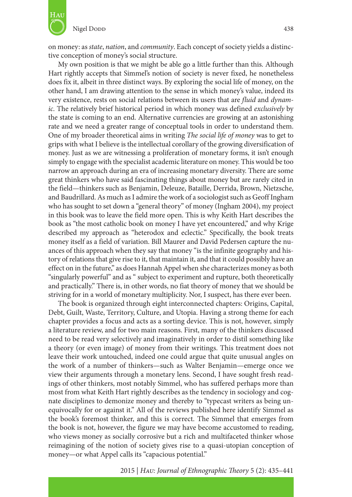

on money: as *state*, *nation*, and *community*. Each concept of society yields a distinctive conception of money's social structure.

My own position is that we might be able go a little further than this. Although Hart rightly accepts that Simmel's notion of society is never fixed, he nonetheless does fix it, albeit in three distinct ways. By exploring the social life of money, on the other hand, I am drawing attention to the sense in which money's value, indeed its very existence, rests on social relations between its users that are *fluid* and *dynamic*. The relatively brief historical period in which money was defined *exclusively* by the state is coming to an end. Alternative currencies are growing at an astonishing rate and we need a greater range of conceptual tools in order to understand them. One of my broader theoretical aims in writing *The social life of money* was to get to grips with what I believe is the intellectual corollary of the growing diversification of money. Just as we are witnessing a proliferation of monetary forms, it isn't enough simply to engage with the specialist academic literature on money. This would be too narrow an approach during an era of increasing monetary diversity. There are some great thinkers who have said fascinating things about money but are rarely cited in the field—thinkers such as Benjamin, Deleuze, Bataille, Derrida, Brown, Nietzsche, and Baudrillard. As much as I admire the work of a sociologist such as Geoff Ingham who has sought to set down a "general theory" of money (Ingham 2004), my project in this book was to leave the field more open. This is why Keith Hart describes the book as "the most catholic book on money I have yet encountered," and why Krige described my approach as "heterodox and eclectic." Specifically, the book treats money itself as a field of variation. Bill Maurer and David Pedersen capture the nuances of this approach when they say that money "is the infinite geography and history of relations that give rise to it, that maintain it, and that it could possibly have an effect on in the future," as does Hannah Appel when she characterizes money as both "singularly powerful" and as " subject to experiment and rupture, both theoretically and practically." There is, in other words, no fiat theory of money that we should be striving for in a world of monetary multiplicity. Nor, I suspect, has there ever been.

The book is organized through eight interconnected chapters: Origins, Capital, Debt, Guilt, Waste, Territory, Culture, and Utopia. Having a strong theme for each chapter provides a focus and acts as a sorting device. This is not, however, simply a literature review, and for two main reasons. First, many of the thinkers discussed need to be read very selectively and imaginatively in order to distil something like a theory (or even image) of money from their writings. This treatment does not leave their work untouched, indeed one could argue that quite unusual angles on the work of a number of thinkers—such as Walter Benjamin—emerge once we view their arguments through a monetary lens. Second, I have sought fresh readings of other thinkers, most notably Simmel, who has suffered perhaps more than most from what Keith Hart rightly describes as the tendency in sociology and cognate disciplines to demonize money and thereby to "typecast writers as being unequivocally for or against it." All of the reviews published here identify Simmel as the book's foremost thinker, and this is correct. The Simmel that emerges from the book is not, however, the figure we may have become accustomed to reading, who views money as socially corrosive but a rich and multifaceted thinker whose reimagining of the notion of society gives rise to a quasi-utopian conception of money—or what Appel calls its "capacious potential."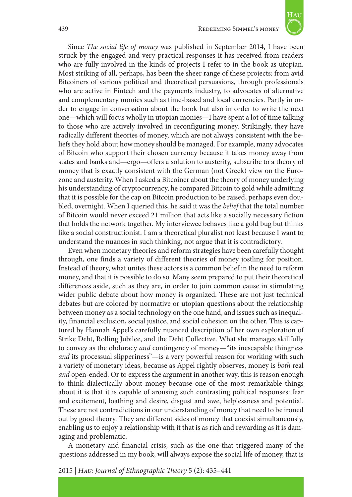

Since *The social life of money* was published in September 2014, I have been struck by the engaged and very practical responses it has received from readers who are fully involved in the kinds of projects I refer to in the book as utopian. Most striking of all, perhaps, has been the sheer range of these projects: from avid Bitcoiners of various political and theoretical persuasions, through professionals who are active in Fintech and the payments industry, to advocates of alternative and complementary monies such as time-based and local currencies. Partly in order to engage in conversation about the book but also in order to write the next one—which will focus wholly in utopian monies—I have spent a lot of time talking to those who are actively involved in reconfiguring money. Strikingly, they have radically different theories of money, which are not always consistent with the beliefs they hold about how money should be managed. For example, many advocates of Bitcoin who support their chosen currency because it takes money away from states and banks and—ergo—offers a solution to austerity, subscribe to a theory of money that is exactly consistent with the German (not Greek) view on the Eurozone and austerity. When I asked a Bitcoiner about the theory of money underlying his understanding of cryptocurrency, he compared Bitcoin to gold while admitting that it is possible for the cap on Bitcoin production to be raised, perhaps even doubled, overnight. When I queried this, he said it was the *belief* that the total number of Bitcoin would never exceed 21 million that acts like a socially necessary fiction that holds the network together. My interviewee behaves like a gold bug but thinks like a social constructionist. I am a theoretical pluralist not least because I want to understand the nuances in such thinking, not argue that it is contradictory.

Even when monetary theories and reform strategies have been carefully thought through, one finds a variety of different theories of money jostling for position. Instead of theory, what unites these actors is a common belief in the need to reform money, and that it is possible to do so. Many seem prepared to put their theoretical differences aside, such as they are, in order to join common cause in stimulating wider public debate about how money is organized. These are not just technical debates but are colored by normative or utopian questions about the relationship between money as a social technology on the one hand, and issues such as inequality, financial exclusion, social justice, and social cohesion on the other. This is captured by Hannah Appel's carefully nuanced description of her own exploration of Strike Debt, Rolling Jubilee, and the Debt Collective. What she manages skillfully to convey as the obduracy *and* contingency of money—"its inescapable thingness *and* its processual slipperiness"—is a very powerful reason for working with such a variety of monetary ideas, because as Appel rightly observes, money is *both* real *and* open-ended. Or to express the argument in another way, this is reason enough to think dialectically about money because one of the most remarkable things about it is that it is capable of arousing such contrasting political responses: fear and excitement, loathing and desire, disgust and awe, helplessness and potential. These are not contradictions in our understanding of money that need to be ironed out by good theory. They are different sides of money that coexist simultaneously, enabling us to enjoy a relationship with it that is as rich and rewarding as it is damaging and problematic.

A monetary and financial crisis, such as the one that triggered many of the questions addressed in my book, will always expose the social life of money, that is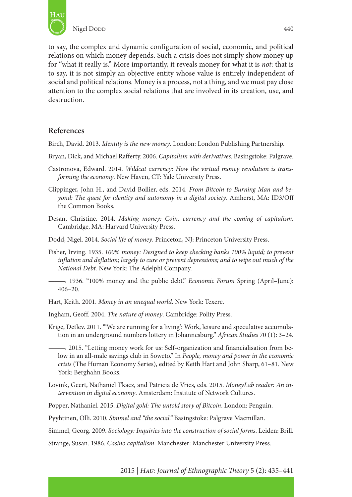

to say, the complex and dynamic configuration of social, economic, and political relations on which money depends. Such a crisis does not simply show money up for "what it really is." More importantly, it reveals money for what it is *not*: that is to say, it is not simply an objective entity whose value is entirely independent of social and political relations. Money is a process, not a thing, and we must pay close attention to the complex social relations that are involved in its creation, use, and destruction.

#### **References**

Birch, David. 2013. *Identity is the new money*. London: London Publishing Partnership.

- Bryan, Dick, and Michael Rafferty. 2006. *Capitalism with derivatives*. Basingstoke: Palgrave.
- Castronova, Edward. 2014. *Wildcat currency: How the virtual money revolution is transforming the economy*. New Haven, CT: Yale University Press.
- Clippinger, John H., and David Bollier, eds. 2014. *From Bitcoin to Burning Man and beyond: The quest for identity and autonomy in a digital society*. Amherst, MA: ID3/Off the Common Books.
- Desan, Christine. 2014. *Making money: Coin, currency and the coming of capitalism*. Cambridge, MA: Harvard University Press.
- Dodd, Nigel. 2014. *Social life of money*. Princeton, NJ: Princeton University Press.
- Fisher, Irving. 1935. *100% money: Designed to keep checking banks 100% liquid; to prevent inflation and deflation; largely to cure or prevent depressions; and to wipe out much of the National Debt.* New York: The Adelphi Company.
- ———. 1936. "100% money and the public debt." *Economic Forum* Spring (April–June): 406–20.

Hart, Keith. 2001. *Money in an unequal world*. New York: Texere.

- Ingham, Geoff. 2004. *The nature of money*. Cambridge: Polity Press.
- Krige, Detlev. 2011. "'We are running for a living': Work, leisure and speculative accumulation in an underground numbers lottery in Johannesburg." *African Studies* 70 (1): 3–24.

———. 2015. "Letting money work for us: Self-organization and financialisation from below in an all-male savings club in Soweto." In *People, money and power in the economic crisis* (The Human Economy Series), edited by Keith Hart and John Sharp, 61–81. New York: Berghahn Books.

- Lovink, Geert, Nathaniel Tkacz, and Patricia de Vries, eds. 2015. *MoneyLab reader: An intervention in digital economy*. Amsterdam: Institute of Network Cultures.
- Popper, Nathaniel. 2015. *Digital gold: The untold story of Bitcoin*. London: Penguin.
- Pyyhtinen, Olli. 2010. *Simmel and "the social."* Basingstoke: Palgrave Macmillan.

Simmel, Georg. 2009. *Sociology: Inquiries into the construction of social forms*. Leiden: Brill.

Strange, Susan. 1986. *Casino capitalism*. Manchester: Manchester University Press.